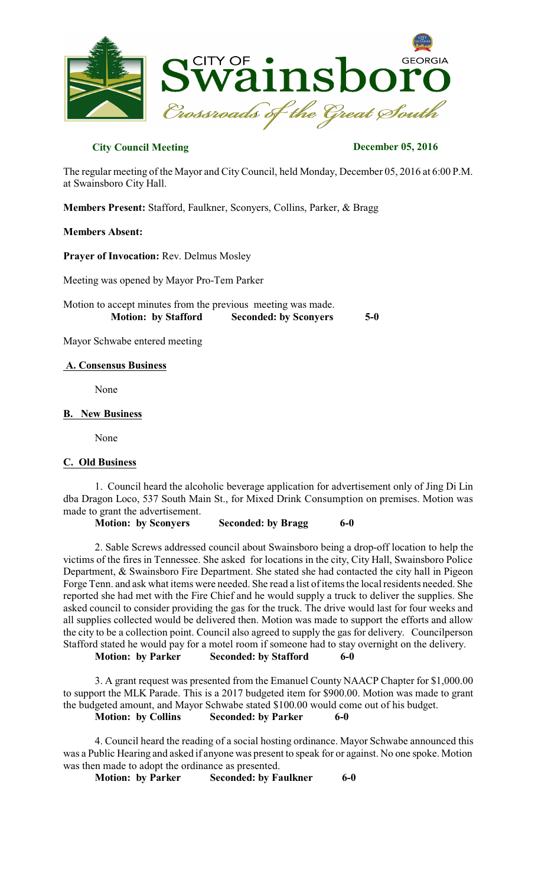

# **City Council Meeting December 05, 2016**

The regular meeting of the Mayor and City Council, held Monday, December 05, 2016 at 6:00 P.M. at Swainsboro City Hall.

**Members Present:** Stafford, Faulkner, Sconyers, Collins, Parker, & Bragg

### **Members Absent:**

**Prayer of Invocation:** Rev. Delmus Mosley

Meeting was opened by Mayor Pro-Tem Parker

Motion to accept minutes from the previous meeting was made.  **Motion: by Stafford Seconded: by Sconyers 5-0** 

Mayor Schwabe entered meeting

### **A. Consensus Business**

None

### **B. New Business**

None

#### **C. Old Business**

1. Council heard the alcoholic beverage application for advertisement only of Jing Di Lin dba Dragon Loco, 537 South Main St., for Mixed Drink Consumption on premises. Motion was made to grant the advertisement.

**Motion: by Sconyers Seconded: by Bragg 6-0** 

2. Sable Screws addressed council about Swainsboro being a drop-off location to help the victims of the fires in Tennessee. She asked for locations in the city, City Hall, Swainsboro Police Department, & Swainsboro Fire Department. She stated she had contacted the city hall in Pigeon Forge Tenn. and ask what items were needed. She read a list of items the local residents needed. She reported she had met with the Fire Chief and he would supply a truck to deliver the supplies. She asked council to consider providing the gas for the truck. The drive would last for four weeks and all supplies collected would be delivered then. Motion was made to support the efforts and allow the city to be a collection point. Council also agreed to supply the gas for delivery. Councilperson Stafford stated he would pay for a motel room if someone had to stay overnight on the delivery. **Motion: by Parker Seconded: by Stafford 6-0** 

3. A grant request was presented from the Emanuel County NAACP Chapter for \$1,000.00 to support the MLK Parade. This is a 2017 budgeted item for \$900.00. Motion was made to grant the budgeted amount, and Mayor Schwabe stated \$100.00 would come out of his budget. **Motion: by Collins Seconded: by Parker 6-0** 

4. Council heard the reading of a social hosting ordinance. Mayor Schwabe announced this was a Public Hearing and asked if anyone was present to speak for or against. No one spoke. Motion was then made to adopt the ordinance as presented.

**Motion: by Parker Seconded: by Faulkner 6-0**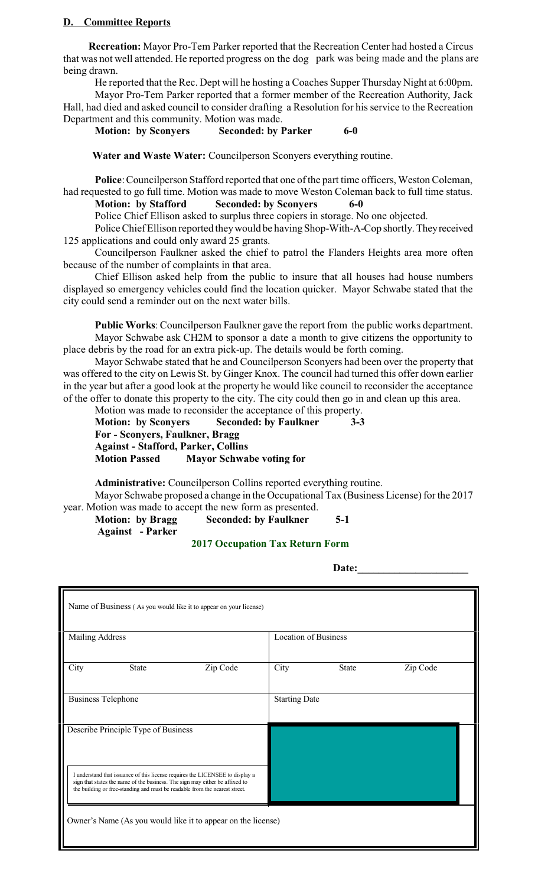# **D. Committee Reports**

**Recreation:** Mayor Pro-Tem Parker reported that the Recreation Center had hosted a Circus that was not well attended. He reported progress on the dog park was being made and the plans are being drawn.

He reported that the Rec. Dept will he hosting a Coaches Supper Thursday Night at 6:00pm.

Mayor Pro-Tem Parker reported that a former member of the Recreation Authority, Jack Hall, had died and asked council to consider drafting a Resolution for his service to the Recreation Department and this community. Motion was made.

**Motion: by Sconyers Seconded: by Parker 6-0** 

**Water and Waste Water:** Councilperson Sconyers everything routine.

Police: Councilperson Stafford reported that one of the part time officers, Weston Coleman, had requested to go full time. Motion was made to move Weston Coleman back to full time status.

# **Motion: by Stafford Seconded: by Sconyers 6-0**

Police Chief Ellison asked to surplus three copiers in storage. No one objected.

Police Chief Ellison reported they would be having Shop-With-A-Cop shortly. They received 125 applications and could only award 25 grants.

Councilperson Faulkner asked the chief to patrol the Flanders Heights area more often because of the number of complaints in that area.

Chief Ellison asked help from the public to insure that all houses had house numbers displayed so emergency vehicles could find the location quicker. Mayor Schwabe stated that the city could send a reminder out on the next water bills.

**Public Works**: Councilperson Faulkner gave the report from the public works department. Mayor Schwabe ask CH2M to sponsor a date a month to give citizens the opportunity to place debris by the road for an extra pick-up. The details would be forth coming.

Mayor Schwabe stated that he and Councilperson Sconyers had been over the property that was offered to the city on Lewis St. by Ginger Knox. The council had turned this offer down earlier in the year but after a good look at the property he would like council to reconsider the acceptance of the offer to donate this property to the city. The city could then go in and clean up this area.

Motion was made to reconsider the acceptance of this property. **Motion: by Sconyers Seconded: by Faulkner 3-3 For - Sconyers, Faulkner, Bragg Against - Stafford, Parker, Collins**

**Motion Passed Mayor Schwabe voting for** 

 **Administrative:** Councilperson Collins reported everything routine. Mayor Schwabe proposed a change in the Occupational Tax (Business License) for the 2017 year. Motion was made to accept the new form as presented.

**Motion: by Bragg Seconded: by Faulkner 5-1**

 **Against - Parker**

# **2017 Occupation Tax Return Form**

**Date:** <u>Date:</u>

| Name of Business (As you would like it to appear on your license)                                                                                                                                                                            |          |      |                             |          |  |
|----------------------------------------------------------------------------------------------------------------------------------------------------------------------------------------------------------------------------------------------|----------|------|-----------------------------|----------|--|
| <b>Mailing Address</b>                                                                                                                                                                                                                       |          |      | <b>Location of Business</b> |          |  |
| City<br><b>State</b>                                                                                                                                                                                                                         | Zip Code | City | <b>State</b>                | Zip Code |  |
| <b>Business Telephone</b>                                                                                                                                                                                                                    |          |      | <b>Starting Date</b>        |          |  |
| Describe Principle Type of Business                                                                                                                                                                                                          |          |      |                             |          |  |
| I understand that issuance of this license requires the LICENSEE to display a<br>sign that states the name of the business. The sign may either be affixed to<br>the building or free-standing and must be readable from the nearest street. |          |      |                             |          |  |
| Owner's Name (As you would like it to appear on the license)                                                                                                                                                                                 |          |      |                             |          |  |